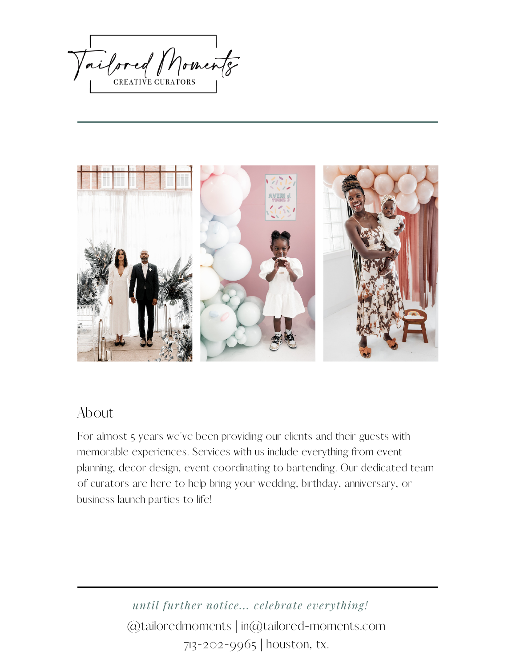ailored Moments



## About

For almost 5 years we've been providing our clients and their guests with memorable experiences. Services with us include everything from event planning, decor design, event coordinating to bartending. Our dedicated team of curators are here to help bring your wedding, birthday, anniversary, or business launch parties to life!

> @tailoredmoments | in@tailored-moments.com 713-202-9965 | houston, tx. *until further notice... celebrate everything!*